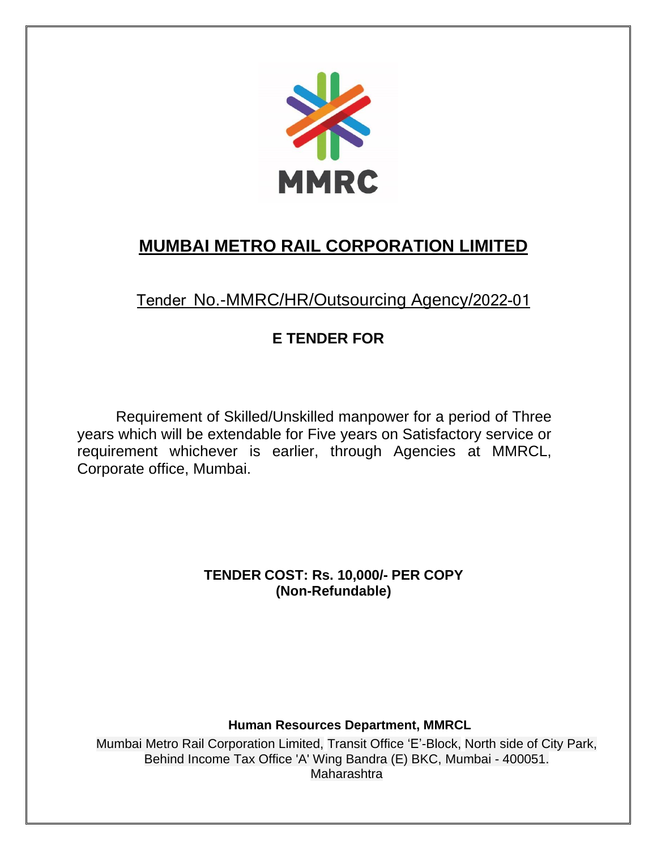

# **MUMBAI METRO RAIL CORPORATION LIMITED**

Tender No.-MMRC/HR/Outsourcing Agency/2022-01

## **E TENDER FOR**

Requirement of Skilled/Unskilled manpower for a period of Three years which will be extendable for Five years on Satisfactory service or requirement whichever is earlier, through Agencies at MMRCL, Corporate office, Mumbai.

> **TENDER COST: Rs. 10,000/- PER COPY (Non-Refundable)**

### **Human Resources Department, MMRCL**

Mumbai Metro Rail Corporation Limited, Transit Office 'E'-Block, North side of City Park, Behind Income Tax Office 'A' Wing Bandra (E) BKC, Mumbai - 400051. Maharashtra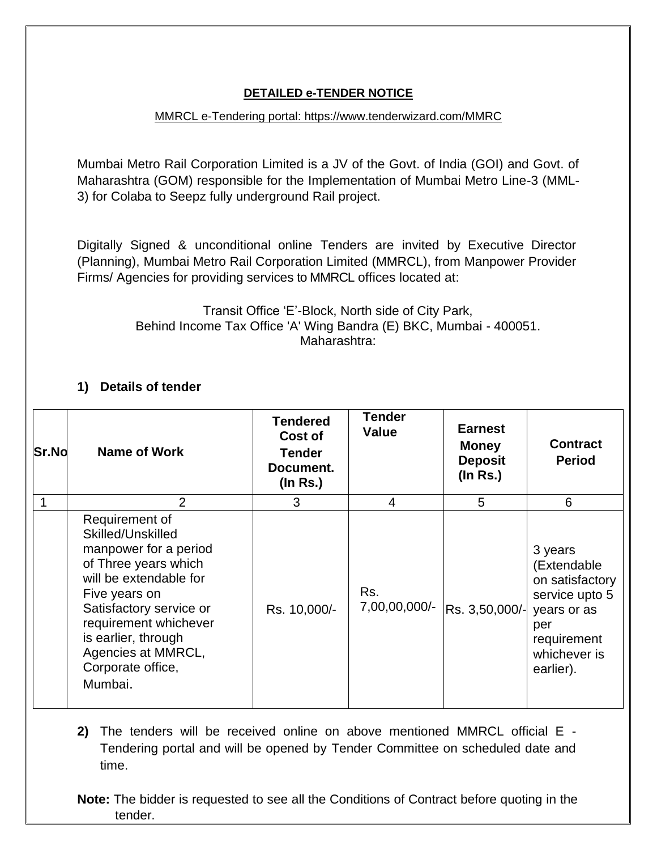#### **DETAILED e-TENDER NOTICE**

#### MMRCL e-Tendering portal: https://www.tenderwizard.com/MMRC

Mumbai Metro Rail Corporation Limited is a JV of the Govt. of India (GOI) and Govt. of Maharashtra (GOM) responsible for the Implementation of Mumbai Metro Line-3 (MML-3) for Colaba to Seepz fully underground Rail project.

Digitally Signed & unconditional online Tenders are invited by Executive Director (Planning), Mumbai Metro Rail Corporation Limited (MMRCL), from Manpower Provider Firms/ Agencies for providing services to MMRCL offices located at:

> Transit Office 'E'-Block, North side of City Park, Behind Income Tax Office 'A' Wing Bandra (E) BKC, Mumbai - 400051. Maharashtra:

### **1) Details of tender**

| <b>Sr.No</b> | <b>Name of Work</b>                                                                                                                                                                                                                                              | <b>Tendered</b><br>Cost of<br>Tender<br>Document.<br>$($ ln Rs. $)$ | <b>Tender</b><br><b>Value</b> | <b>Earnest</b><br><b>Money</b><br><b>Deposit</b><br>$($ ln Rs. $)$ | <b>Contract</b><br><b>Period</b>                                                                                              |
|--------------|------------------------------------------------------------------------------------------------------------------------------------------------------------------------------------------------------------------------------------------------------------------|---------------------------------------------------------------------|-------------------------------|--------------------------------------------------------------------|-------------------------------------------------------------------------------------------------------------------------------|
|              | 2                                                                                                                                                                                                                                                                | 3                                                                   | 4                             | 5                                                                  | 6                                                                                                                             |
|              | Requirement of<br>Skilled/Unskilled<br>manpower for a period<br>of Three years which<br>will be extendable for<br>Five years on<br>Satisfactory service or<br>requirement whichever<br>is earlier, through<br>Agencies at MMRCL,<br>Corporate office,<br>Mumbai. | Rs. 10,000/-                                                        | Rs.<br>7,00,00,000/-          | Rs. 3,50,000/-                                                     | 3 years<br>(Extendable<br>on satisfactory<br>service upto 5<br>years or as<br>per<br>requirement<br>whichever is<br>earlier). |

**2)** The tenders will be received online on above mentioned MMRCL official E - Tendering portal and will be opened by Tender Committee on scheduled date and time.

**Note:** The bidder is requested to see all the Conditions of Contract before quoting in the tender.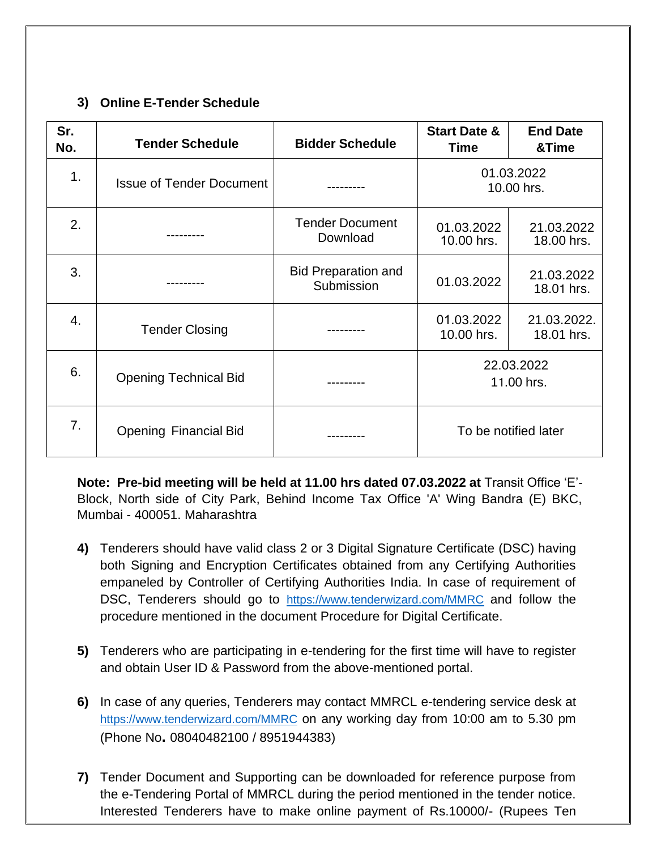### **3) Online E-Tender Schedule**

| Sr.<br>No.     | <b>Tender Schedule</b>          | <b>Bidder Schedule</b>                   | <b>Start Date &amp;</b><br><b>Time</b> | <b>End Date</b><br>&Time  |
|----------------|---------------------------------|------------------------------------------|----------------------------------------|---------------------------|
| 1 <sub>1</sub> | <b>Issue of Tender Document</b> |                                          | 01.03.2022<br>10.00 hrs.               |                           |
| 2.             |                                 | <b>Tender Document</b><br>Download       | 01.03.2022<br>10.00 hrs.               | 21.03.2022<br>18.00 hrs.  |
| 3.             |                                 | <b>Bid Preparation and</b><br>Submission | 01.03.2022                             | 21.03.2022<br>18.01 hrs.  |
| 4.             | <b>Tender Closing</b>           |                                          | 01.03.2022<br>10.00 hrs.               | 21.03.2022.<br>18.01 hrs. |
| 6.             | <b>Opening Technical Bid</b>    |                                          | 22.03.2022<br>11.00 hrs.               |                           |
| 7.             | <b>Opening Financial Bid</b>    | To be notified later                     |                                        |                           |

**Note: Pre-bid meeting will be held at 11.00 hrs dated 07.03.2022 at** Transit Office 'E'- Block, North side of City Park, Behind Income Tax Office 'A' Wing Bandra (E) BKC, Mumbai - 400051. Maharashtra

- **4)** Tenderers should have valid class 2 or 3 Digital Signature Certificate (DSC) having both Signing and Encryption Certificates obtained from any Certifying Authorities empaneled by Controller of Certifying Authorities India. In case of requirement of DSC, Tenderers should go to <https://www.tenderwizard.com/MMRC> and follow the procedure mentioned in the document Procedure for Digital Certificate.
- **5)** Tenderers who are participating in e-tendering for the first time will have to register and obtain User ID & Password from the above-mentioned portal.
- **6)** In case of any queries, Tenderers may contact MMRCL e-tendering service desk at <https://www.tenderwizard.com/MMRC> on any working day from 10:00 am to 5.30 pm (Phone No**.** 08040482100 / 8951944383)
- **7)** Tender Document and Supporting can be downloaded for reference purpose from the e-Tendering Portal of MMRCL during the period mentioned in the tender notice. Interested Tenderers have to make online payment of Rs.10000/- (Rupees Ten